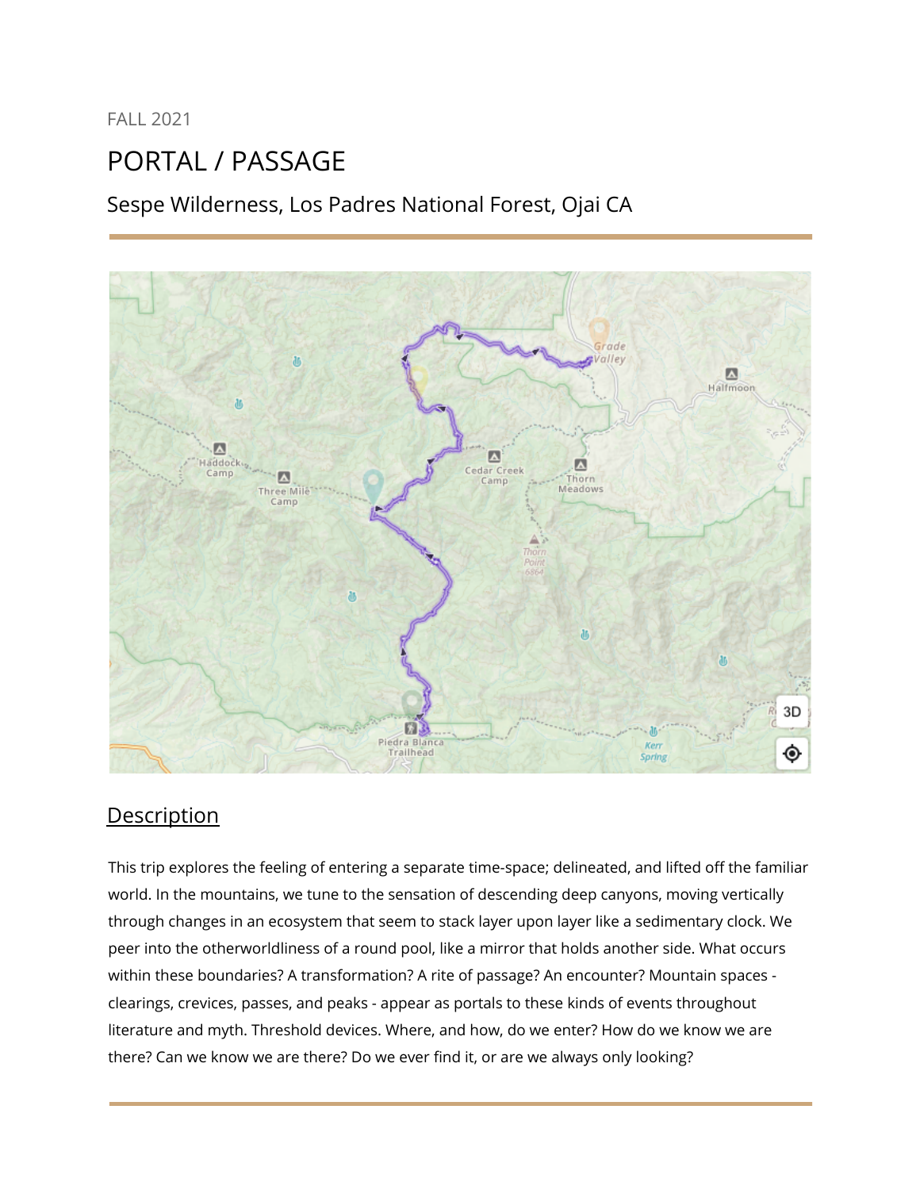FALL 2021

# PORTAL / PASSAGE

Sespe Wilderness, Los Padres National Forest, Ojai CA



## **Description**

This trip explores the feeling of entering a separate time-space; delineated, and lifted off the familiar world. In the mountains, we tune to the sensation of descending deep canyons, moving vertically through changes in an ecosystem that seem to stack layer upon layer like a sedimentary clock. We peer into the otherworldliness of a round pool, like a mirror that holds another side. What occurs within these boundaries? A transformation? A rite of passage? An encounter? Mountain spaces clearings, crevices, passes, and peaks - appear as portals to these kinds of events throughout literature and myth. Threshold devices. Where, and how, do we enter? How do we know we are there? Can we know we are there? Do we ever find it, or are we always only looking?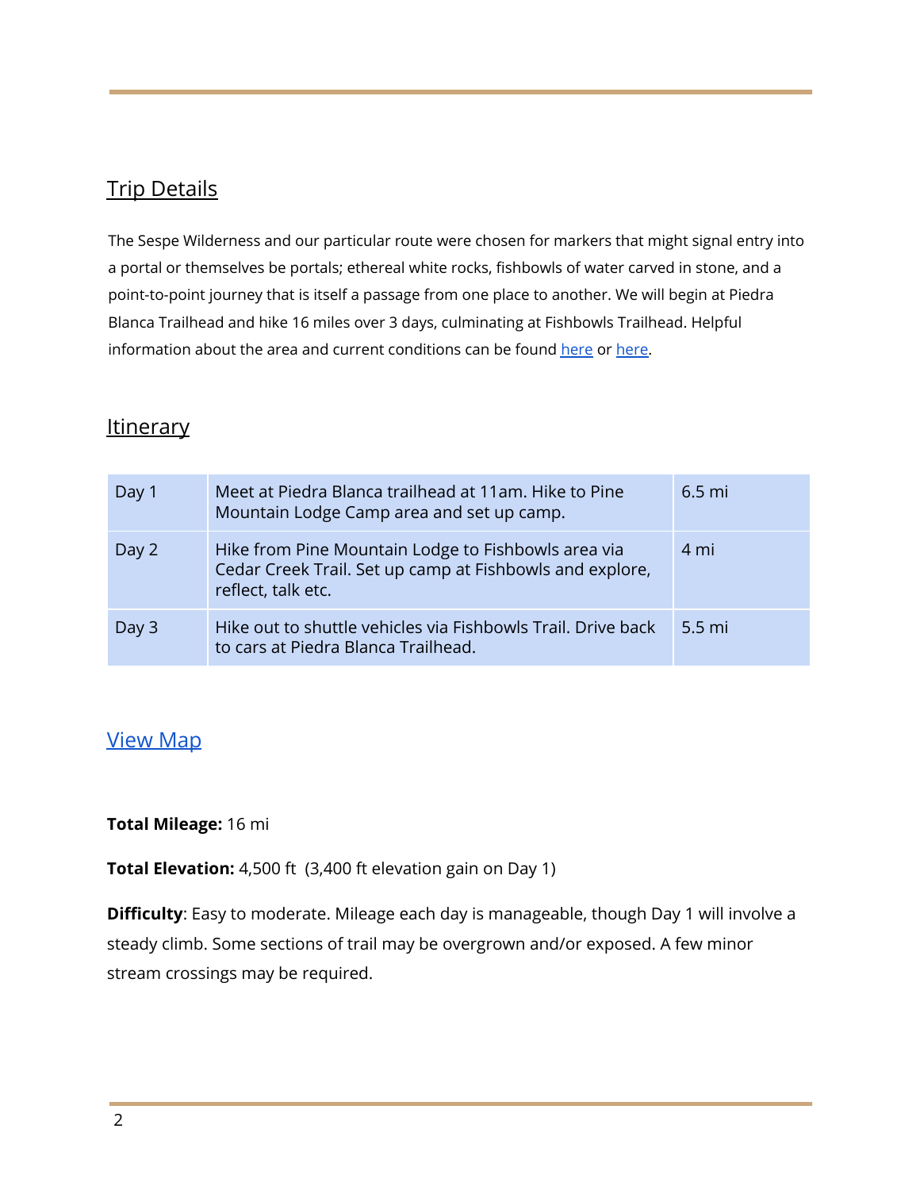## Trip Details

The Sespe Wilderness and our particular route were chosen for markers that might signal entry into a portal or themselves be portals; ethereal white rocks, fishbowls of water carved in stone, and a point-to-point journey that is itself a passage from one place to another. We will begin at Piedra Blanca Trailhead and hike 16 miles over 3 days, culminating at Fishbowls Trailhead. Helpful information about the area and current conditions can be found [here](http://www.hikelospadres.com/pine-mtn-lodge-campground.html) or [here.](http://www.hikelospadres.com/fishbowls-campground.html)

### **Itinerary**

| Day 1 | Meet at Piedra Blanca trailhead at 11am. Hike to Pine<br>Mountain Lodge Camp area and set up camp.                                    | $6.5$ mi         |
|-------|---------------------------------------------------------------------------------------------------------------------------------------|------------------|
| Day 2 | Hike from Pine Mountain Lodge to Fishbowls area via<br>Cedar Creek Trail. Set up camp at Fishbowls and explore,<br>reflect, talk etc. | 4 mi             |
| Day 3 | Hike out to shuttle vehicles via Fishbowls Trail. Drive back<br>to cars at Piedra Blanca Trailhead.                                   | $5.5 \text{ mi}$ |

## [View](https://www.gaiagps.com/map/?layer=GaiaTopoRasterFeet&loc=11.4/-119.1806/34.6232&pubLink=tD4ePGsjqcG7Gp7ll31A1KkR&trackId=017e66fe-8d55-4564-9930-87199c99b184) Map

#### **Total Mileage:** 16 mi

**Total Elevation:** 4,500 ft (3,400 ft elevation gain on Day 1)

**Difficulty**: Easy to moderate. Mileage each day is manageable, though Day 1 will involve a steady climb. Some sections of trail may be overgrown and/or exposed. A few minor stream crossings may be required.